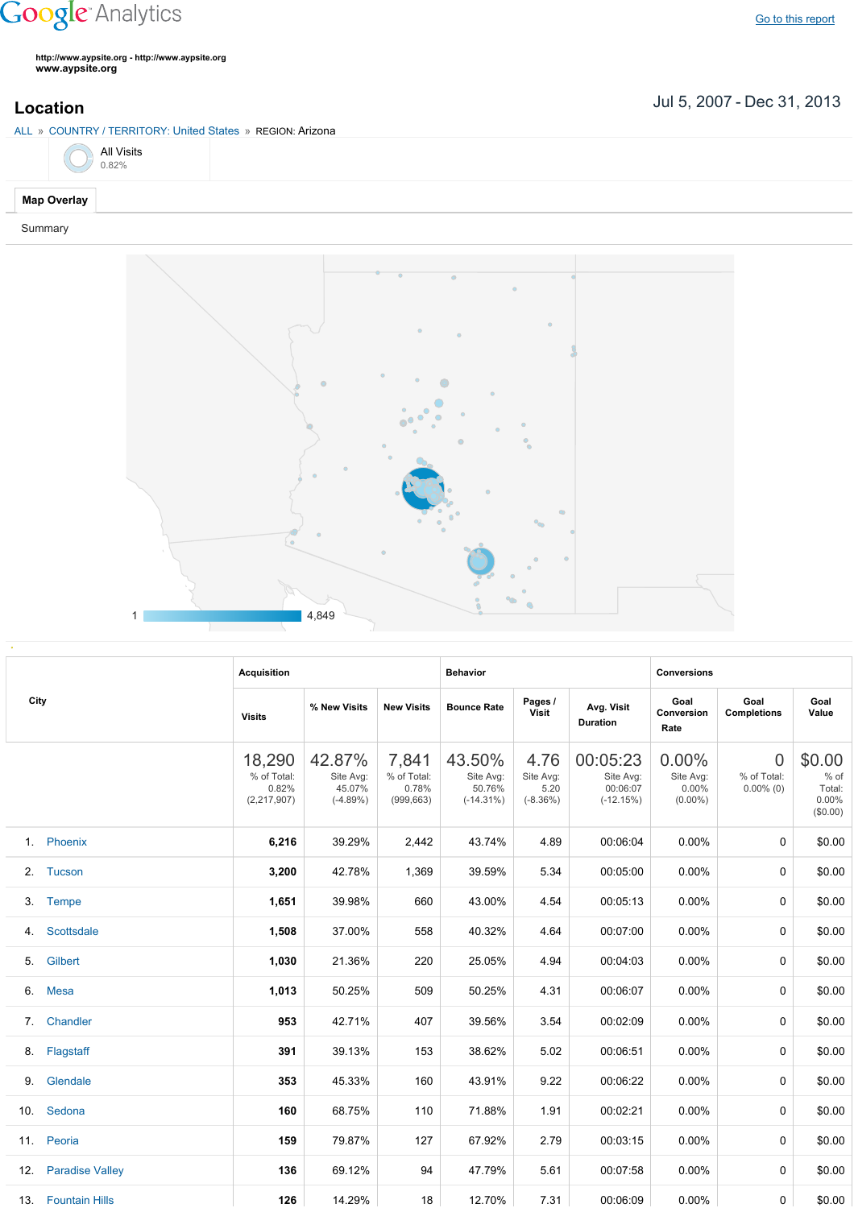## **Google** Analytics

Go to this [report](https://www.google.com/analytics/web/?utm_source=pdfReportLink#report/visitors-geo/a2184169w3912412p4016214/%3F_u.date00%3D20070705%26_u.date01%3D20131231%26geo-table.plotKeys%3D%5B%5D%26geo-table.rowStart%3D0%26geo-table.rowCount%3D1000%26_r.drilldown%3Danalytics.country%3AUS%2Canalytics.region%3A21136/)

**http://www.aypsite.org http://www.aypsite.org www.aypsite.org**

Jul 5, 2007 Dec 31, 2013 **Location**

|         | ALL » COUNTRY / TERRITORY: United States » REGION: Arizona |                     |  |  |  |  |  |  |  |  |  |
|---------|------------------------------------------------------------|---------------------|--|--|--|--|--|--|--|--|--|
|         |                                                            | All Visits $0.82\%$ |  |  |  |  |  |  |  |  |  |
|         | Map Overlay                                                |                     |  |  |  |  |  |  |  |  |  |
| Summary |                                                            |                     |  |  |  |  |  |  |  |  |  |



|      |                     | <b>Acquisition</b>                              |                                             |                                             | <b>Behavior</b>                               |                                         |                                                  | <b>Conversions</b>                           |                                         |                                                 |  |
|------|---------------------|-------------------------------------------------|---------------------------------------------|---------------------------------------------|-----------------------------------------------|-----------------------------------------|--------------------------------------------------|----------------------------------------------|-----------------------------------------|-------------------------------------------------|--|
| City |                     | <b>Visits</b>                                   | % New Visits                                | <b>New Visits</b>                           | <b>Bounce Rate</b>                            | Pages /<br><b>Visit</b>                 | Avg. Visit<br><b>Duration</b>                    | Goal<br>Conversion<br>Rate                   | Goal<br><b>Completions</b>              | Goal<br>Value                                   |  |
|      |                     | 18,290<br>% of Total:<br>0.82%<br>(2, 217, 907) | 42.87%<br>Site Avg:<br>45.07%<br>$(-4.89%)$ | 7,841<br>% of Total:<br>0.78%<br>(999, 663) | 43.50%<br>Site Avg:<br>50.76%<br>$(-14.31\%)$ | 4.76<br>Site Avg:<br>5.20<br>$(-8.36%)$ | 00:05:23<br>Site Avg:<br>00:06:07<br>$(-12.15%)$ | $0.00\%$<br>Site Avg:<br>0.00%<br>$(0.00\%)$ | $\Omega$<br>% of Total:<br>$0.00\%$ (0) | \$0.00<br>$%$ of<br>Total:<br>0.00%<br>(\$0.00) |  |
|      | 1. Phoenix          | 6,216                                           | 39.29%                                      | 2,442                                       | 43.74%                                        | 4.89                                    | 00:06:04                                         | 0.00%                                        | $\Omega$                                | \$0.00                                          |  |
| 2.   | Tucson              | 3,200                                           | 42.78%                                      | 1,369                                       | 39.59%                                        | 5.34                                    | 00:05:00                                         | 0.00%                                        | $\Omega$                                | \$0.00                                          |  |
|      | 3. Tempe            | 1,651                                           | 39.98%                                      | 660                                         | 43.00%                                        | 4.54                                    | 00:05:13                                         | 0.00%                                        | $\Omega$                                | \$0.00                                          |  |
| 4.   | Scottsdale          | 1,508                                           | 37.00%                                      | 558                                         | 40.32%                                        | 4.64                                    | 00:07:00                                         | 0.00%                                        | $\Omega$                                | \$0.00                                          |  |
| 5.   | Gilbert             | 1,030                                           | 21.36%                                      | 220                                         | 25.05%                                        | 4.94                                    | 00:04:03                                         | 0.00%                                        | $\Omega$                                | \$0.00                                          |  |
|      | 6. Mesa             | 1,013                                           | 50.25%                                      | 509                                         | 50.25%                                        | 4.31                                    | 00:06:07                                         | 0.00%                                        | 0                                       | \$0.00                                          |  |
| 7.   | Chandler            | 953                                             | 42.71%                                      | 407                                         | 39.56%                                        | 3.54                                    | 00:02:09                                         | 0.00%                                        | $\Omega$                                | \$0.00                                          |  |
|      | 8. Flagstaff        | 391                                             | 39.13%                                      | 153                                         | 38.62%                                        | 5.02                                    | 00:06:51                                         | 0.00%                                        | $\Omega$                                | \$0.00                                          |  |
| 9.   | Glendale            | 353                                             | 45.33%                                      | 160                                         | 43.91%                                        | 9.22                                    | 00:06:22                                         | 0.00%                                        | $\Omega$                                | \$0.00                                          |  |
|      | 10. Sedona          | 160                                             | 68.75%                                      | 110                                         | 71.88%                                        | 1.91                                    | 00:02:21                                         | 0.00%                                        | $\Omega$                                | \$0.00                                          |  |
|      | 11. Peoria          | 159                                             | 79.87%                                      | 127                                         | 67.92%                                        | 2.79                                    | 00:03:15                                         | 0.00%                                        | $\Omega$                                | \$0.00                                          |  |
|      | 12. Paradise Valley | 136                                             | 69.12%                                      | 94                                          | 47.79%                                        | 5.61                                    | 00:07:58                                         | $0.00\%$                                     | $\Omega$                                | \$0.00                                          |  |
|      | 13. Fountain Hills  | 126                                             | 14.29%                                      | 18                                          | 12.70%                                        | 7.31                                    | 00:06:09                                         | 0.00%                                        | 0                                       | \$0.00                                          |  |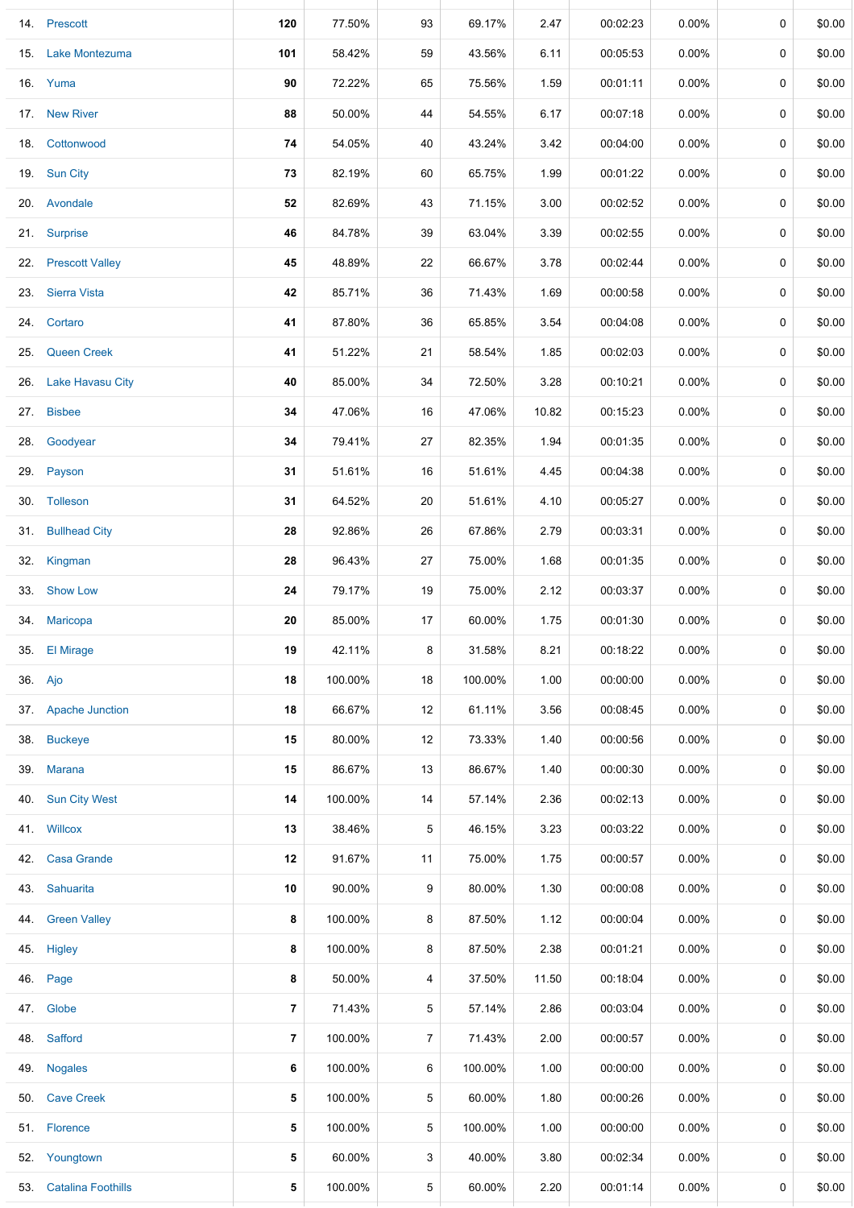|     | 14. Prescott           | 120            | 77.50%  | 93 | 69.17%  | 2.47  | 00:02:23 | 0.00%    | 0           | \$0.00 |
|-----|------------------------|----------------|---------|----|---------|-------|----------|----------|-------------|--------|
|     | 15. Lake Montezuma     | 101            | 58.42%  | 59 | 43.56%  | 6.11  | 00:05:53 | $0.00\%$ | 0           | \$0.00 |
|     | 16. Yuma               | 90             | 72.22%  | 65 | 75.56%  | 1.59  | 00:01:11 | $0.00\%$ | 0           | \$0.00 |
|     | 17. New River          | 88             | 50.00%  | 44 | 54.55%  | 6.17  | 00:07:18 | $0.00\%$ | 0           | \$0.00 |
|     | 18. Cottonwood         | 74             | 54.05%  | 40 | 43.24%  | 3.42  | 00:04:00 | $0.00\%$ | 0           | \$0.00 |
|     | 19. Sun City           | 73             | 82.19%  | 60 | 65.75%  | 1.99  | 00:01:22 | $0.00\%$ | 0           | \$0.00 |
|     | 20. Avondale           | 52             | 82.69%  | 43 | 71.15%  | 3.00  | 00:02:52 | $0.00\%$ | 0           | \$0.00 |
|     | 21. Surprise           | 46             | 84.78%  | 39 | 63.04%  | 3.39  | 00:02:55 | $0.00\%$ | 0           | \$0.00 |
|     | 22. Prescott Valley    | 45             | 48.89%  | 22 | 66.67%  | 3.78  | 00:02:44 | $0.00\%$ | 0           | \$0.00 |
| 23. | <b>Sierra Vista</b>    | 42             | 85.71%  | 36 | 71.43%  | 1.69  | 00:00:58 | $0.00\%$ | 0           | \$0.00 |
|     | 24. Cortaro            | 41             | 87.80%  | 36 | 65.85%  | 3.54  | 00:04:08 | 0.00%    | 0           | \$0.00 |
| 25. | <b>Queen Creek</b>     | 41             | 51.22%  | 21 | 58.54%  | 1.85  | 00:02:03 | 0.00%    | 0           | \$0.00 |
|     | 26. Lake Havasu City   | 40             | 85.00%  | 34 | 72.50%  | 3.28  | 00:10:21 | $0.00\%$ | 0           | \$0.00 |
|     | 27. Bisbee             | 34             | 47.06%  | 16 | 47.06%  | 10.82 | 00:15:23 | $0.00\%$ | 0           | \$0.00 |
|     | 28. Goodyear           | 34             | 79.41%  | 27 | 82.35%  | 1.94  | 00:01:35 | $0.00\%$ | 0           | \$0.00 |
|     | 29. Payson             | 31             | 51.61%  | 16 | 51.61%  | 4.45  | 00:04:38 | $0.00\%$ | 0           | \$0.00 |
|     | 30. Tolleson           | 31             | 64.52%  | 20 | 51.61%  | 4.10  | 00:05:27 | $0.00\%$ | 0           | \$0.00 |
|     | 31. Bullhead City      | 28             | 92.86%  | 26 | 67.86%  | 2.79  | 00:03:31 | $0.00\%$ | 0           | \$0.00 |
|     | 32. Kingman            | 28             | 96.43%  | 27 | 75.00%  | 1.68  | 00:01:35 | $0.00\%$ | 0           | \$0.00 |
|     | 33. Show Low           | 24             | 79.17%  | 19 | 75.00%  | 2.12  | 00:03:37 | $0.00\%$ | 0           | \$0.00 |
|     | 34. Maricopa           | 20             | 85.00%  | 17 | 60.00%  | 1.75  | 00:01:30 | $0.00\%$ | 0           | \$0.00 |
| 35. | <b>El Mirage</b>       | 19             | 42.11%  | 8  | 31.58%  | 8.21  | 00:18:22 | $0.00\%$ | 0           | \$0.00 |
|     | 36. Ajo                | 18             | 100.00% | 18 | 100.00% | 1.00  | 00:00:00 | $0.00\%$ | $\mathbf 0$ | \$0.00 |
|     | 37. Apache Junction    | 18             | 66.67%  | 12 | 61.11%  | 3.56  | 00:08:45 | $0.00\%$ | 0           | \$0.00 |
| 38. | <b>Buckeye</b>         | 15             | 80.00%  | 12 | 73.33%  | 1.40  | 00:00:56 | $0.00\%$ | 0           | \$0.00 |
| 39. | <b>Marana</b>          | 15             | 86.67%  | 13 | 86.67%  | 1.40  | 00:00:30 | 0.00%    | 0           | \$0.00 |
| 40. | <b>Sun City West</b>   | 14             | 100.00% | 14 | 57.14%  | 2.36  | 00:02:13 | $0.00\%$ | 0           | \$0.00 |
|     | 41. Willcox            | 13             | 38.46%  | 5  | 46.15%  | 3.23  | 00:03:22 | $0.00\%$ | 0           | \$0.00 |
| 42. | <b>Casa Grande</b>     | 12             | 91.67%  | 11 | 75.00%  | 1.75  | 00:00:57 | $0.00\%$ | 0           | \$0.00 |
| 43. | Sahuarita              | 10             | 90.00%  | 9  | 80.00%  | 1.30  | 00:00:08 | $0.00\%$ | 0           | \$0.00 |
| 44. | <b>Green Valley</b>    | 8              | 100.00% | 8  | 87.50%  | 1.12  | 00:00:04 | $0.00\%$ | 0           | \$0.00 |
| 45. | Higley                 | 8              | 100.00% | 8  | 87.50%  | 2.38  | 00:01:21 | $0.00\%$ | 0           | \$0.00 |
|     | 46. Page               | 8              | 50.00%  | 4  | 37.50%  | 11.50 | 00:18:04 | $0.00\%$ | 0           | \$0.00 |
|     | 47. Globe              | $\overline{7}$ | 71.43%  | 5  | 57.14%  | 2.86  | 00:03:04 | $0.00\%$ | 0           | \$0.00 |
| 48. | Safford                | 7              | 100.00% | 7  | 71.43%  | 2.00  | 00:00:57 | $0.00\%$ | 0           | \$0.00 |
| 49. | <b>Nogales</b>         | 6              | 100.00% | 6  | 100.00% | 1.00  | 00:00:00 | $0.00\%$ | 0           | \$0.00 |
|     | 50. Cave Creek         | 5              | 100.00% | 5  | 60.00%  | 1.80  | 00:00:26 | $0.00\%$ | 0           | \$0.00 |
|     | 51. Florence           | 5              | 100.00% | 5  | 100.00% | 1.00  | 00:00:00 | $0.00\%$ | 0           | \$0.00 |
|     | 52. Youngtown          | 5              | 60.00%  | 3  | 40.00%  | 3.80  | 00:02:34 | $0.00\%$ | 0           | \$0.00 |
|     | 53. Catalina Foothills | 5              | 100.00% | 5  | 60.00%  | 2.20  | 00:01:14 | 0.00%    | 0           | \$0.00 |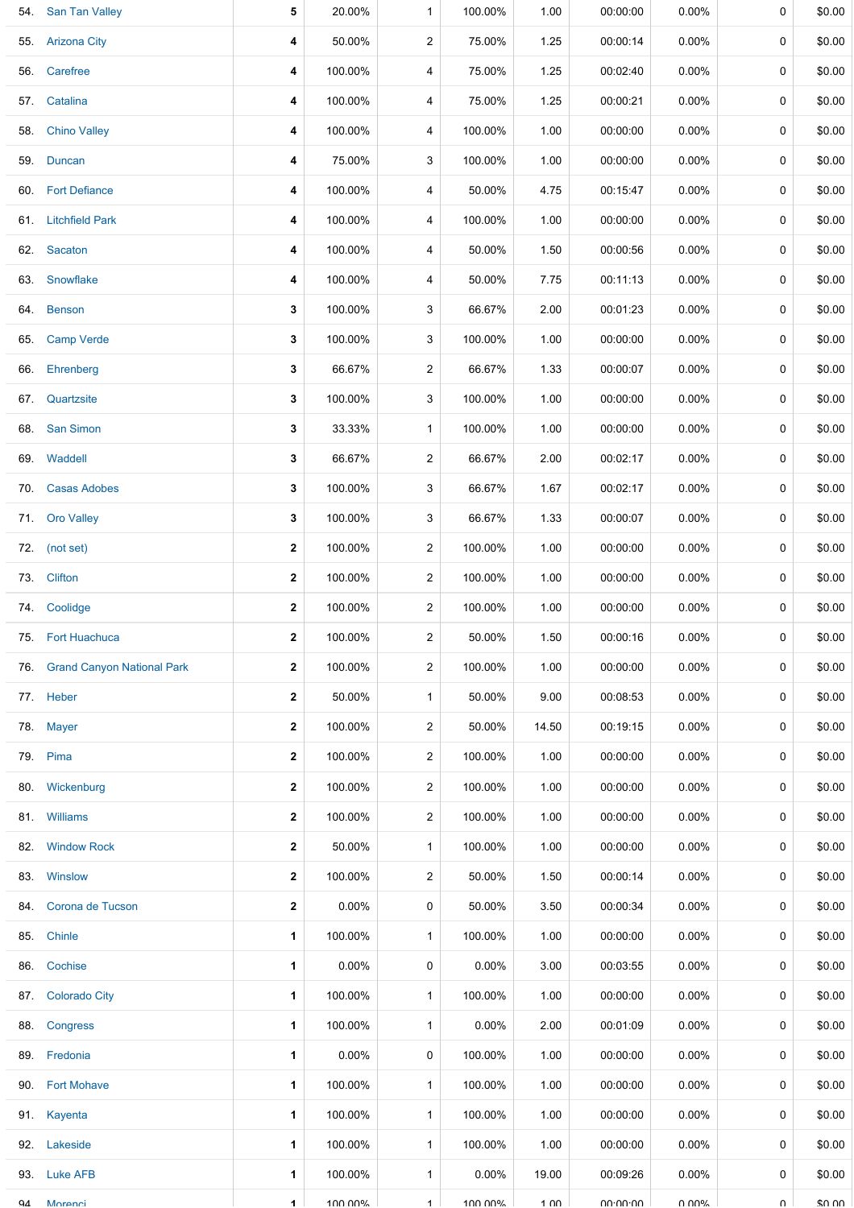| 54. | <b>San Tan Valley</b>          | 5                       | 20.00%   | 1              | 100.00%  | 1.00  | 00:00:00 | 0.00%    | 0      | \$0.00 |
|-----|--------------------------------|-------------------------|----------|----------------|----------|-------|----------|----------|--------|--------|
|     | 55. Arizona City               | 4                       | 50.00%   | $\overline{2}$ | 75.00%   | 1.25  | 00:00:14 | $0.00\%$ | 0      | \$0.00 |
|     | 56. Carefree                   | 4                       | 100.00%  | 4              | 75.00%   | 1.25  | 00:02:40 | $0.00\%$ | 0      | \$0.00 |
|     | 57. Catalina                   | 4                       | 100.00%  | 4              | 75.00%   | 1.25  | 00:00:21 | $0.00\%$ | 0      | \$0.00 |
|     | 58. Chino Valley               | 4                       | 100.00%  | 4              | 100.00%  | 1.00  | 00:00:00 | $0.00\%$ | 0      | \$0.00 |
|     | 59. Duncan                     | 4                       | 75.00%   | 3              | 100.00%  | 1.00  | 00:00:00 | $0.00\%$ | 0      | \$0.00 |
|     | 60. Fort Defiance              | 4                       | 100.00%  | 4              | 50.00%   | 4.75  | 00:15:47 | $0.00\%$ | 0      | \$0.00 |
|     | 61. Litchfield Park            | 4                       | 100.00%  | 4              | 100.00%  | 1.00  | 00:00:00 | $0.00\%$ | 0      | \$0.00 |
|     | 62. Sacaton                    | 4                       | 100.00%  | 4              | 50.00%   | 1.50  | 00:00:56 | $0.00\%$ | 0      | \$0.00 |
|     | 63. Snowflake                  | 4                       | 100.00%  | 4              | 50.00%   | 7.75  | 00:11:13 | $0.00\%$ | 0      | \$0.00 |
|     | 64. Benson                     | 3                       | 100.00%  | 3              | 66.67%   | 2.00  | 00:01:23 | $0.00\%$ | 0      | \$0.00 |
| 65. | <b>Camp Verde</b>              | 3                       | 100.00%  | 3              | 100.00%  | 1.00  | 00:00:00 | $0.00\%$ | 0      | \$0.00 |
|     | 66. Ehrenberg                  | 3                       | 66.67%   | $\overline{c}$ | 66.67%   | 1.33  | 00:00:07 | $0.00\%$ | 0      | \$0.00 |
|     | 67. Quartzsite                 | 3                       | 100.00%  | 3              | 100.00%  | 1.00  | 00:00:00 | $0.00\%$ | 0      | \$0.00 |
|     | 68. San Simon                  | 3                       | 33.33%   | $\mathbf{1}$   | 100.00%  | 1.00  | 00:00:00 | $0.00\%$ | 0      | \$0.00 |
|     | 69. Waddell                    | 3                       | 66.67%   | $\overline{a}$ | 66.67%   | 2.00  | 00:02:17 | $0.00\%$ | 0      | \$0.00 |
| 70. | <b>Casas Adobes</b>            | 3                       | 100.00%  | 3              | 66.67%   | 1.67  | 00:02:17 | $0.00\%$ | 0      | \$0.00 |
|     | 71. Oro Valley                 | 3                       | 100.00%  | 3              | 66.67%   | 1.33  | 00:00:07 | $0.00\%$ | 0      | \$0.00 |
|     | 72. (not set)                  | $\mathbf{2}$            | 100.00%  | $\overline{c}$ | 100.00%  | 1.00  | 00:00:00 | $0.00\%$ | 0      | \$0.00 |
|     | 73. Clifton                    | 2                       | 100.00%  | $\overline{c}$ | 100.00%  | 1.00  | 00:00:00 | $0.00\%$ | 0      | \$0.00 |
|     | 74. Coolidge                   | $\mathbf{2}$            | 100.00%  | $\overline{2}$ | 100.00%  | 1.00  | 00:00:00 | $0.00\%$ | 0      | \$0.00 |
|     | 75. Fort Huachuca              | 2                       | 100.00%  | 2              | 50.00%   | 1.50  | 00:00:16 | $0.00\%$ | 0      | \$0.00 |
|     | 76. Grand Canyon National Park | $\mathbf{2}$            | 100.00%  | $\overline{2}$ | 100.00%  | 1.00  | 00:00:00 | $0.00\%$ | 0      | \$0.00 |
|     | 77. Heber                      | $\mathbf 2$             | 50.00%   | 1              | 50.00%   | 9.00  | 00:08:53 | $0.00\%$ | 0      | \$0.00 |
| 78. | <b>Mayer</b>                   | $\mathbf{2}$            | 100.00%  | $\overline{a}$ | 50.00%   | 14.50 | 00:19:15 | $0.00\%$ | 0      | \$0.00 |
|     | 79. Pima                       | $\mathbf{2}$            | 100.00%  | 2              | 100.00%  | 1.00  | 00:00:00 | $0.00\%$ | 0      | \$0.00 |
|     | 80. Wickenburg                 | 2                       | 100.00%  | $\overline{c}$ | 100.00%  | 1.00  | 00:00:00 | $0.00\%$ | 0      | \$0.00 |
|     | 81. Williams                   | $\mathbf{2}$            | 100.00%  | $\overline{2}$ | 100.00%  | 1.00  | 00:00:00 | $0.00\%$ | 0      | \$0.00 |
| 82. | <b>Window Rock</b>             | $\overline{\mathbf{2}}$ | 50.00%   | $\mathbf{1}$   | 100.00%  | 1.00  | 00:00:00 | $0.00\%$ | 0      | \$0.00 |
| 83. | Winslow                        | $\mathbf{2}$            | 100.00%  | $\overline{2}$ | 50.00%   | 1.50  | 00:00:14 | $0.00\%$ | 0      | \$0.00 |
| 84. | Corona de Tucson               | 2                       | 0.00%    | 0              | 50.00%   | 3.50  | 00:00:34 | $0.00\%$ | 0      | \$0.00 |
| 85. | Chinle                         | 1                       | 100.00%  | $\mathbf{1}$   | 100.00%  | 1.00  | 00:00:00 | $0.00\%$ | 0      | \$0.00 |
|     | 86. Cochise                    | 1                       | $0.00\%$ | 0              | $0.00\%$ | 3.00  | 00:03:55 | $0.00\%$ | 0      | \$0.00 |
| 87. | <b>Colorado City</b>           | 1                       | 100.00%  | $\mathbf{1}$   | 100.00%  | 1.00  | 00:00:00 | $0.00\%$ | 0      | \$0.00 |
|     | 88. Congress                   | 1                       | 100.00%  | 1              | $0.00\%$ | 2.00  | 00:01:09 | $0.00\%$ | 0      | \$0.00 |
|     | 89. Fredonia                   | 1                       | $0.00\%$ | 0              | 100.00%  | 1.00  | 00:00:00 | $0.00\%$ | 0      | \$0.00 |
|     | 90. Fort Mohave                | 1                       | 100.00%  | $\mathbf{1}$   | 100.00%  | 1.00  | 00:00:00 | $0.00\%$ | 0      | \$0.00 |
| 91. | Kayenta                        | 1                       | 100.00%  | 1              | 100.00%  | 1.00  | 00:00:00 | $0.00\%$ | 0      | \$0.00 |
|     | 92. Lakeside                   | 1                       | 100.00%  | 1              | 100.00%  | 1.00  | 00:00:00 | $0.00\%$ | 0      | \$0.00 |
| 93. | <b>Luke AFB</b>                | 1                       | 100.00%  | $\mathbf{1}$   | $0.00\%$ | 19.00 | 00:09:26 | $0.00\%$ | 0      | \$0.00 |
| QΔ  | Morenci                        | $\blacktriangleleft$    | 100.00%  | $\mathbf{1}$   | 100.00%  | 1 በበ  | 0.0000   | ህ ሀሀላ    | $\cap$ | \$0.00 |